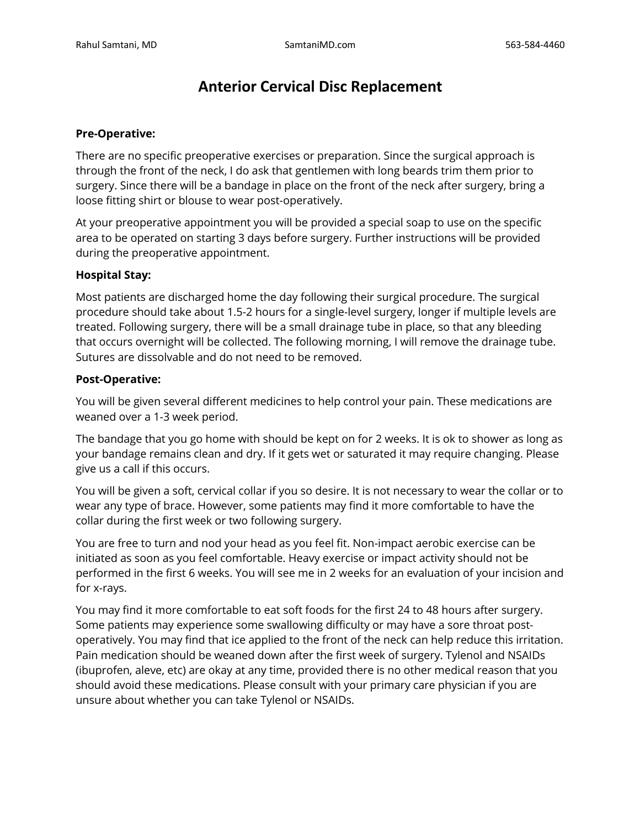# **Anterior Cervical Disc Replacement**

#### **Pre-Operative:**

There are no specific preoperative exercises or preparation. Since the surgical approach is through the front of the neck, I do ask that gentlemen with long beards trim them prior to surgery. Since there will be a bandage in place on the front of the neck after surgery, bring a loose fitting shirt or blouse to wear post-operatively.

At your preoperative appointment you will be provided a special soap to use on the specific area to be operated on starting 3 days before surgery. Further instructions will be provided during the preoperative appointment.

#### **Hospital Stay:**

Most patients are discharged home the day following their surgical procedure. The surgical procedure should take about 1.5-2 hours for a single-level surgery, longer if multiple levels are treated. Following surgery, there will be a small drainage tube in place, so that any bleeding that occurs overnight will be collected. The following morning, I will remove the drainage tube. Sutures are dissolvable and do not need to be removed.

#### **Post-Operative:**

You will be given several different medicines to help control your pain. These medications are weaned over a 1-3 week period.

The bandage that you go home with should be kept on for 2 weeks. It is ok to shower as long as your bandage remains clean and dry. If it gets wet or saturated it may require changing. Please give us a call if this occurs.

You will be given a soft, cervical collar if you so desire. It is not necessary to wear the collar or to wear any type of brace. However, some patients may find it more comfortable to have the collar during the first week or two following surgery.

You are free to turn and nod your head as you feel fit. Non-impact aerobic exercise can be initiated as soon as you feel comfortable. Heavy exercise or impact activity should not be performed in the first 6 weeks. You will see me in 2 weeks for an evaluation of your incision and for x-rays.

You may find it more comfortable to eat soft foods for the first 24 to 48 hours after surgery. Some patients may experience some swallowing difficulty or may have a sore throat postoperatively. You may find that ice applied to the front of the neck can help reduce this irritation. Pain medication should be weaned down after the first week of surgery. Tylenol and NSAIDs (ibuprofen, aleve, etc) are okay at any time, provided there is no other medical reason that you should avoid these medications. Please consult with your primary care physician if you are unsure about whether you can take Tylenol or NSAIDs.